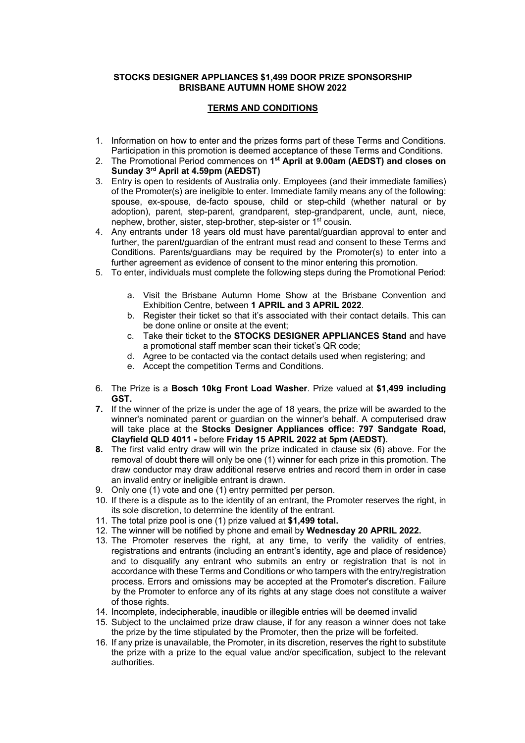## **STOCKS DESIGNER APPLIANCES \$1,499 DOOR PRIZE SPONSORSHIP BRISBANE AUTUMN HOME SHOW 2022**

## **TERMS AND CONDITIONS**

- 1. Information on how to enter and the prizes forms part of these Terms and Conditions. Participation in this promotion is deemed acceptance of these Terms and Conditions.
- 2. The Promotional Period commences on **1st April at 9.00am (AEDST) and closes on Sunday 3rd April at 4.59pm (AEDST)**
- 3. Entry is open to residents of Australia only. Employees (and their immediate families) of the Promoter(s) are ineligible to enter. Immediate family means any of the following: spouse, ex-spouse, de-facto spouse, child or step-child (whether natural or by adoption), parent, step-parent, grandparent, step-grandparent, uncle, aunt, niece, nephew, brother, sister, step-brother, step-sister or 1st cousin.
- 4. Any entrants under 18 years old must have parental/guardian approval to enter and further, the parent/guardian of the entrant must read and consent to these Terms and Conditions. Parents/guardians may be required by the Promoter(s) to enter into a further agreement as evidence of consent to the minor entering this promotion.
- 5. To enter, individuals must complete the following steps during the Promotional Period:
	- a. Visit the Brisbane Autumn Home Show at the Brisbane Convention and Exhibition Centre, between **1 APRIL and 3 APRIL 2022**.
	- b. Register their ticket so that it's associated with their contact details. This can be done online or onsite at the event;
	- c. Take their ticket to the **STOCKS DESIGNER APPLIANCES Stand** and have a promotional staff member scan their ticket's QR code;
	- d. Agree to be contacted via the contact details used when registering; and
	- e. Accept the competition Terms and Conditions.
- 6. The Prize is a **Bosch 10kg Front Load Washer**. Prize valued at **\$1,499 including GST.**
- **7.** If the winner of the prize is under the age of 18 years, the prize will be awarded to the winner's nominated parent or guardian on the winner's behalf. A computerised draw will take place at the **Stocks Designer Appliances office: 797 Sandgate Road, Clayfield QLD 4011 -** before **Friday 15 APRIL 2022 at 5pm (AEDST).**
- **8.** The first valid entry draw will win the prize indicated in clause six (6) above. For the removal of doubt there will only be one (1) winner for each prize in this promotion. The draw conductor may draw additional reserve entries and record them in order in case an invalid entry or ineligible entrant is drawn.
- 9. Only one (1) vote and one (1) entry permitted per person.
- 10. If there is a dispute as to the identity of an entrant, the Promoter reserves the right, in its sole discretion, to determine the identity of the entrant.
- 11. The total prize pool is one (1) prize valued at **\$1,499 total.**
- 12. The winner will be notified by phone and email by **Wednesday 20 APRIL 2022.**
- 13. The Promoter reserves the right, at any time, to verify the validity of entries, registrations and entrants (including an entrant's identity, age and place of residence) and to disqualify any entrant who submits an entry or registration that is not in accordance with these Terms and Conditions or who tampers with the entry/registration process. Errors and omissions may be accepted at the Promoter's discretion. Failure by the Promoter to enforce any of its rights at any stage does not constitute a waiver of those rights.
- 14. Incomplete, indecipherable, inaudible or illegible entries will be deemed invalid
- 15. Subject to the unclaimed prize draw clause, if for any reason a winner does not take the prize by the time stipulated by the Promoter, then the prize will be forfeited.
- 16. If any prize is unavailable, the Promoter, in its discretion, reserves the right to substitute the prize with a prize to the equal value and/or specification, subject to the relevant authorities.